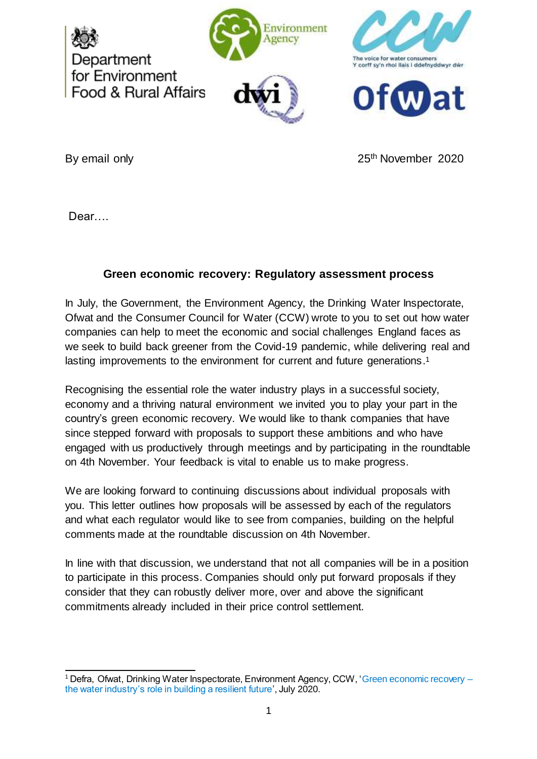







By email only **25th** November 2020

Dear….

# **Green economic recovery: Regulatory assessment process**

In July, the Government, the Environment Agency, the Drinking Water Inspectorate, Ofwat and the Consumer Council for Water (CCW) wrote to you to set out how water companies can help to meet the economic and social challenges England faces as we seek to build back greener from the Covid-19 pandemic, while delivering real and lasting improvements to the environment for current and future generations.<sup>1</sup>

Recognising the essential role the water industry plays in a successful society, economy and a thriving natural environment we invited you to play your part in the country's green economic recovery. We would like to thank companies that have since stepped forward with proposals to support these ambitions and who have engaged with us productively through meetings and by participating in the roundtable on 4th November. Your feedback is vital to enable us to make progress.

We are looking forward to continuing discussions about individual proposals with you. This letter outlines how proposals will be assessed by each of the regulators and what each regulator would like to see from companies, building on the helpful comments made at the roundtable discussion on 4th November.

In line with that discussion, we understand that not all companies will be in a position to participate in this process. Companies should only put forward proposals if they consider that they can robustly deliver more, over and above the significant commitments already included in their price control settlement.

 <sup>1</sup> Defra, Ofwat, Drinking Water Inspectorate, Environment Agency, CCW, 'Green economic recovery [the water industry's role in building a resilient future](https://assets.publishing.service.gov.uk/government/uploads/system/uploads/attachment_data/file/902487/green-recovery-letter-to-water-companies-200720.pdf)', July 2020.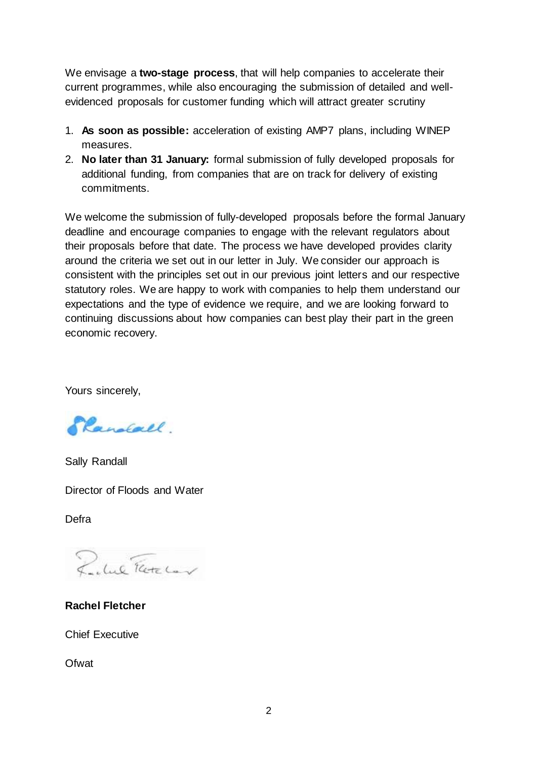We envisage a **two-stage process**, that will help companies to accelerate their current programmes, while also encouraging the submission of detailed and wellevidenced proposals for customer funding which will attract greater scrutiny

- 1. **As soon as possible:** acceleration of existing AMP7 plans, including WINEP measures.
- 2. **No later than 31 January:** formal submission of fully developed proposals for additional funding, from companies that are on track for delivery of existing commitments.

We welcome the submission of fully-developed proposals before the formal January deadline and encourage companies to engage with the relevant regulators about their proposals before that date. The process we have developed provides clarity around the criteria we set out in our letter in July. We consider our approach is consistent with the principles set out in our previous joint letters and our respective statutory roles. We are happy to work with companies to help them understand our expectations and the type of evidence we require, and we are looking forward to continuing discussions about how companies can best play their part in the green economic recovery.

Yours sincerely,

Planolall.

Sally Randall

Director of Floods and Water

Defra

Rubel Text Land

**Rachel Fletcher**

Chief Executive

**Ofwat**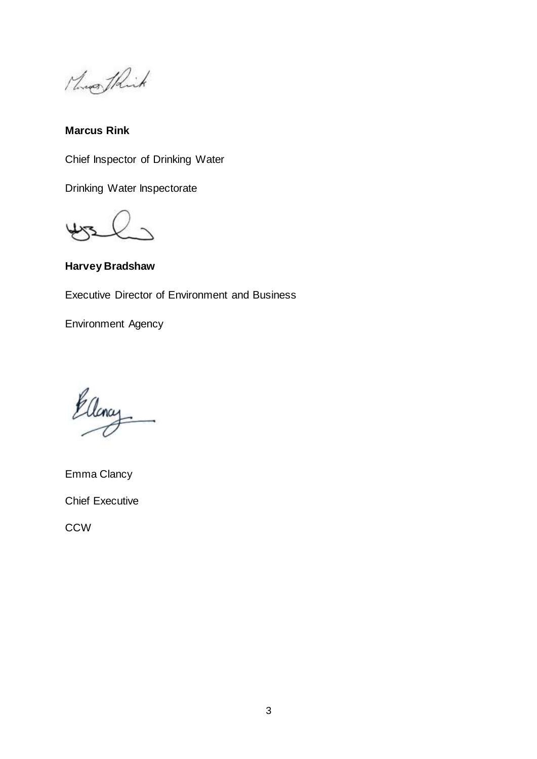Mossof Phink

**Marcus Rink** 

Chief Inspector of Drinking Water

Drinking Water Inspectorate

**Harvey Bradshaw**

Executive Director of Environment and Business

Environment Agency

Ellency

Emma Clancy Chief Executive

**CCW**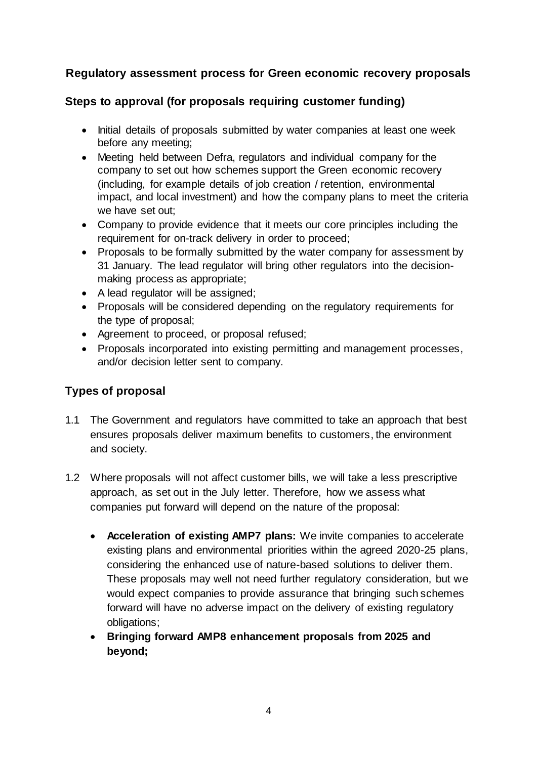# **Regulatory assessment process for Green economic recovery proposals**

# **Steps to approval (for proposals requiring customer funding)**

- Initial details of proposals submitted by water companies at least one week before any meeting;
- Meeting held between Defra, regulators and individual company for the company to set out how schemes support the Green economic recovery (including, for example details of job creation / retention, environmental impact, and local investment) and how the company plans to meet the criteria we have set out;
- Company to provide evidence that it meets our core principles including the requirement for on-track delivery in order to proceed;
- Proposals to be formally submitted by the water company for assessment by 31 January. The lead regulator will bring other regulators into the decisionmaking process as appropriate;
- A lead regulator will be assigned;
- Proposals will be considered depending on the regulatory requirements for the type of proposal;
- Agreement to proceed, or proposal refused;
- Proposals incorporated into existing permitting and management processes, and/or decision letter sent to company.

# **Types of proposal**

- 1.1 The Government and regulators have committed to take an approach that best ensures proposals deliver maximum benefits to customers, the environment and society.
- 1.2 Where proposals will not affect customer bills, we will take a less prescriptive approach, as set out in the July letter. Therefore, how we assess what companies put forward will depend on the nature of the proposal:
	- **Acceleration of existing AMP7 plans:** We invite companies to accelerate existing plans and environmental priorities within the agreed 2020-25 plans, considering the enhanced use of nature-based solutions to deliver them. These proposals may well not need further regulatory consideration, but we would expect companies to provide assurance that bringing such schemes forward will have no adverse impact on the delivery of existing regulatory obligations;
	- **Bringing forward AMP8 enhancement proposals from 2025 and beyond;**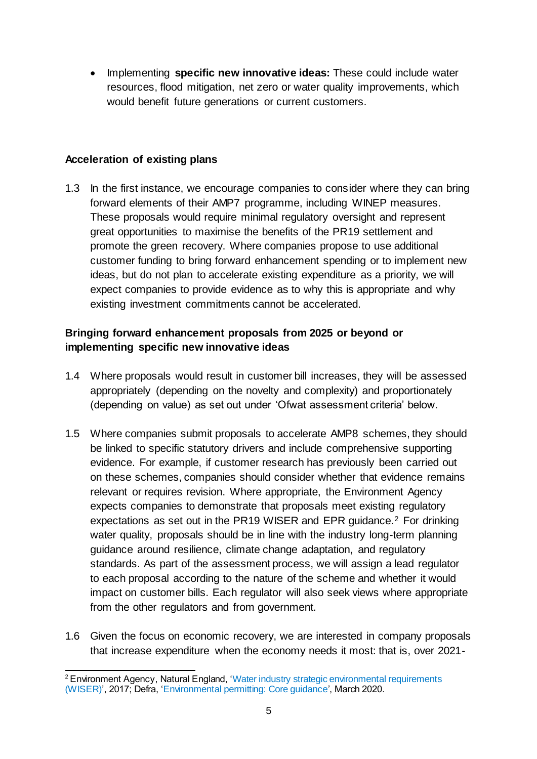Implementing **specific new innovative ideas:** These could include water resources, flood mitigation, net zero or water quality improvements, which would benefit future generations or current customers.

#### **Acceleration of existing plans**

1.3 In the first instance, we encourage companies to consider where they can bring forward elements of their AMP7 programme, including WINEP measures. These proposals would require minimal regulatory oversight and represent great opportunities to maximise the benefits of the PR19 settlement and promote the green recovery. Where companies propose to use additional customer funding to bring forward enhancement spending or to implement new ideas, but do not plan to accelerate existing expenditure as a priority, we will expect companies to provide evidence as to why this is appropriate and why existing investment commitments cannot be accelerated.

### **Bringing forward enhancement proposals from 2025 or beyond or implementing specific new innovative ideas**

- 1.4 Where proposals would result in customer bill increases, they will be assessed appropriately (depending on the novelty and complexity) and proportionately (depending on value) as set out under 'Ofwat assessment criteria' below.
- 1.5 Where companies submit proposals to accelerate AMP8 schemes, they should be linked to specific statutory drivers and include comprehensive supporting evidence. For example, if customer research has previously been carried out on these schemes, companies should consider whether that evidence remains relevant or requires revision. Where appropriate, the Environment Agency expects companies to demonstrate that proposals meet existing regulatory expectations as set out in the PR19 WISER and EPR guidance.<sup>2</sup> For drinking water quality, proposals should be in line with the industry long-term planning guidance around resilience, climate change adaptation, and regulatory standards. As part of the assessment process, we will assign a lead regulator to each proposal according to the nature of the scheme and whether it would impact on customer bills. Each regulator will also seek views where appropriate from the other regulators and from government.
- 1.6 Given the focus on economic recovery, we are interested in company proposals that increase expenditure when the economy needs it most: that is, over 2021-

 <sup>2</sup> Environment Agency, Natural England, 'Water industry strategic environmental requirements [\(WISER\)'](https://www.customer-panel.co.uk/media/1017/water-industry-strategic-environmental-requirements-wiser.pdf), 2017; Defra, ['Environmental permitting: Core guidance](https://assets.publishing.service.gov.uk/government/uploads/system/uploads/attachment_data/file/879531/environmental-permitting-core-guidance.pdf)', March 2020.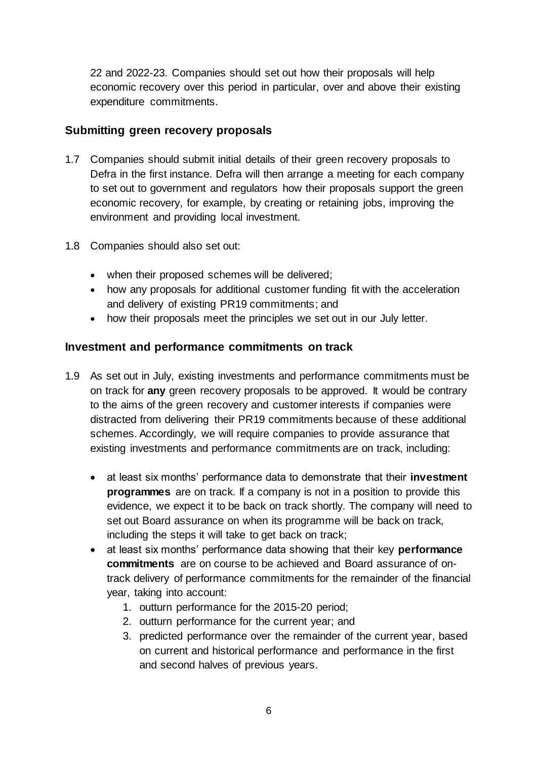22 and 2022-23. Companies should set out how their proposals will help economic recovery over this period in particular, over and above their existing expenditure commitments.

## **Submitting green recovery proposals**

- 1.7 Companies should submit initial details of their green recovery proposals to Defra in the first instance. Defra will then arrange a meeting for each company to set out to government and regulators how their proposals support the green economic recovery, for example, by creating or retaining jobs, improving the environment and providing local investment.
- 1.8 Companies should also set out:
	- when their proposed schemes will be delivered:
	- how any proposals for additional customer funding fit with the acceleration and delivery of existing PR19 commitments; and
	- how their proposals meet the principles we set out in our July letter.

#### **Investment and performance commitments on track**

- 1.9 As set out in July, existing investments and performance commitments must be on track for **any** green recovery proposals to be approved. It would be contrary to the aims of the green recovery and customer interests if companies were distracted from delivering their PR19 commitments because of these additional schemes. Accordingly, we will require companies to provide assurance that existing investments and performance commitments are on track, including:
	- at least six months' performance data to demonstrate that their **investment programmes** are on track. If a company is not in a position to provide this evidence, we expect it to be back on track shortly. The company will need to set out Board assurance on when its programme will be back on track, including the steps it will take to get back on track;
	- at least six months' performance data showing that their key **performance commitments** are on course to be achieved and Board assurance of ontrack delivery of performance commitments for the remainder of the financial year, taking into account:
		- 1. outturn performance for the 2015-20 period;
		- 2. outturn performance for the current year; and
		- 3. predicted performance over the remainder of the current year, based on current and historical performance and performance in the first and second halves of previous years.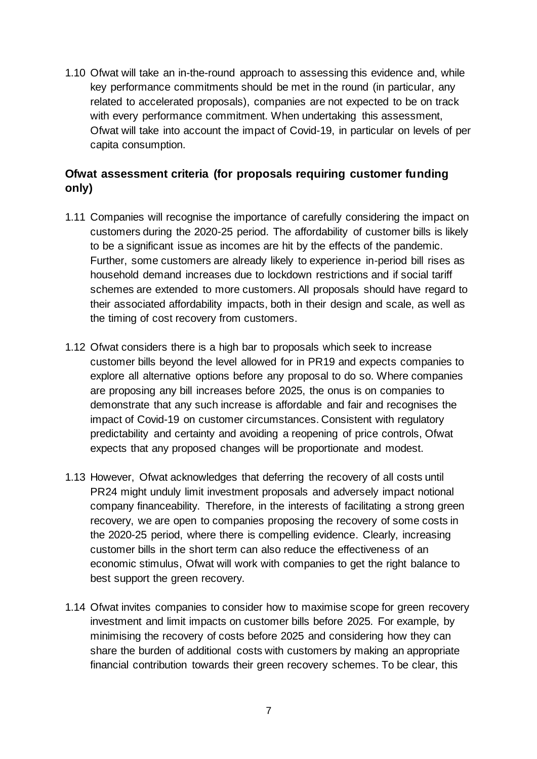1.10 Ofwat will take an in-the-round approach to assessing this evidence and, while key performance commitments should be met in the round (in particular, any related to accelerated proposals), companies are not expected to be on track with every performance commitment. When undertaking this assessment, Ofwat will take into account the impact of Covid-19, in particular on levels of per capita consumption.

# **Ofwat assessment criteria (for proposals requiring customer funding only)**

- 1.11 Companies will recognise the importance of carefully considering the impact on customers during the 2020-25 period. The affordability of customer bills is likely to be a significant issue as incomes are hit by the effects of the pandemic. Further, some customers are already likely to experience in-period bill rises as household demand increases due to lockdown restrictions and if social tariff schemes are extended to more customers. All proposals should have regard to their associated affordability impacts, both in their design and scale, as well as the timing of cost recovery from customers.
- 1.12 Ofwat considers there is a high bar to proposals which seek to increase customer bills beyond the level allowed for in PR19 and expects companies to explore all alternative options before any proposal to do so. Where companies are proposing any bill increases before 2025, the onus is on companies to demonstrate that any such increase is affordable and fair and recognises the impact of Covid-19 on customer circumstances. Consistent with regulatory predictability and certainty and avoiding a reopening of price controls, Ofwat expects that any proposed changes will be proportionate and modest.
- 1.13 However, Ofwat acknowledges that deferring the recovery of all costs until PR24 might unduly limit investment proposals and adversely impact notional company financeability. Therefore, in the interests of facilitating a strong green recovery, we are open to companies proposing the recovery of some costs in the 2020-25 period, where there is compelling evidence. Clearly, increasing customer bills in the short term can also reduce the effectiveness of an economic stimulus, Ofwat will work with companies to get the right balance to best support the green recovery.
- 1.14 Ofwat invites companies to consider how to maximise scope for green recovery investment and limit impacts on customer bills before 2025. For example, by minimising the recovery of costs before 2025 and considering how they can share the burden of additional costs with customers by making an appropriate financial contribution towards their green recovery schemes. To be clear, this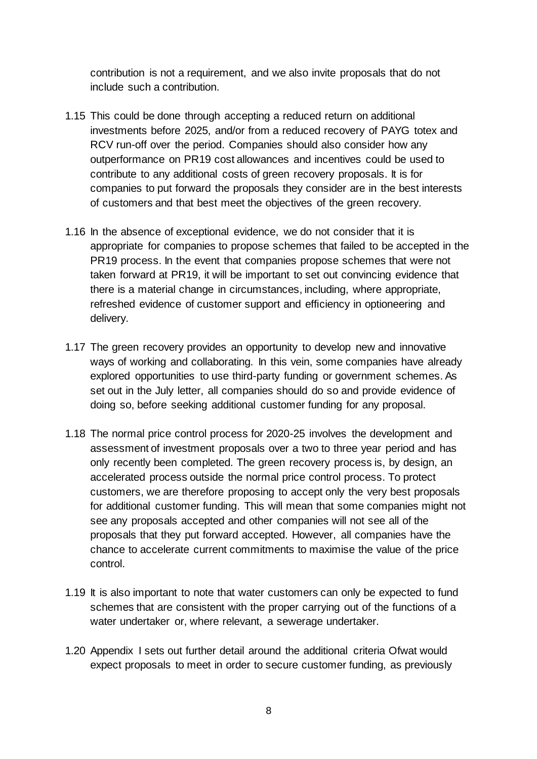contribution is not a requirement, and we also invite proposals that do not include such a contribution.

- 1.15 This could be done through accepting a reduced return on additional investments before 2025, and/or from a reduced recovery of PAYG totex and RCV run-off over the period. Companies should also consider how any outperformance on PR19 cost allowances and incentives could be used to contribute to any additional costs of green recovery proposals. It is for companies to put forward the proposals they consider are in the best interests of customers and that best meet the objectives of the green recovery.
- 1.16 In the absence of exceptional evidence, we do not consider that it is appropriate for companies to propose schemes that failed to be accepted in the PR19 process. In the event that companies propose schemes that were not taken forward at PR19, it will be important to set out convincing evidence that there is a material change in circumstances, including, where appropriate, refreshed evidence of customer support and efficiency in optioneering and delivery.
- 1.17 The green recovery provides an opportunity to develop new and innovative ways of working and collaborating. In this vein, some companies have already explored opportunities to use third-party funding or government schemes. As set out in the July letter, all companies should do so and provide evidence of doing so, before seeking additional customer funding for any proposal.
- 1.18 The normal price control process for 2020-25 involves the development and assessment of investment proposals over a two to three year period and has only recently been completed. The green recovery process is, by design, an accelerated process outside the normal price control process. To protect customers, we are therefore proposing to accept only the very best proposals for additional customer funding. This will mean that some companies might not see any proposals accepted and other companies will not see all of the proposals that they put forward accepted. However, all companies have the chance to accelerate current commitments to maximise the value of the price control.
- 1.19 It is also important to note that water customers can only be expected to fund schemes that are consistent with the proper carrying out of the functions of a water undertaker or, where relevant, a sewerage undertaker.
- 1.20 Appendix I sets out further detail around the additional criteria Ofwat would expect proposals to meet in order to secure customer funding, as previously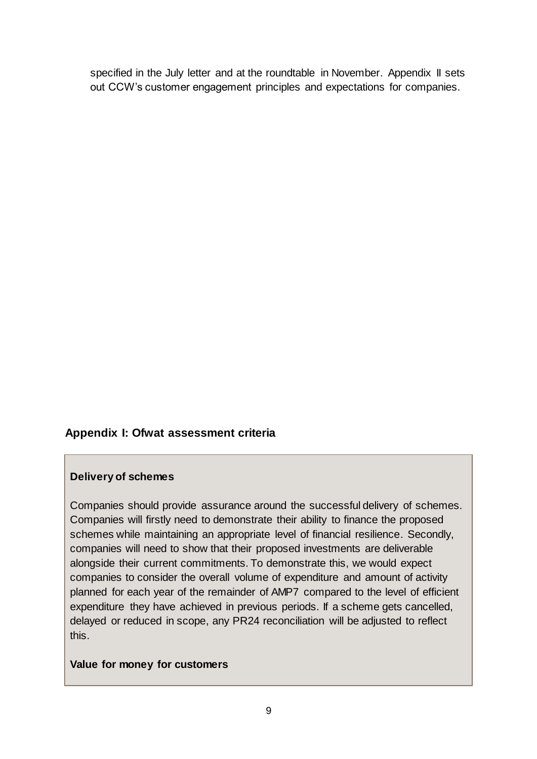specified in the July letter and at the roundtable in November. Appendix II sets out CCW's customer engagement principles and expectations for companies.

### **Appendix I: Ofwat assessment criteria**

#### **Delivery of schemes**

Companies should provide assurance around the successful delivery of schemes. Companies will firstly need to demonstrate their ability to finance the proposed schemes while maintaining an appropriate level of financial resilience. Secondly, companies will need to show that their proposed investments are deliverable alongside their current commitments. To demonstrate this, we would expect companies to consider the overall volume of expenditure and amount of activity planned for each year of the remainder of AMP7 compared to the level of efficient expenditure they have achieved in previous periods. If a scheme gets cancelled, delayed or reduced in scope, any PR24 reconciliation will be adjusted to reflect this.

#### **Value for money for customers**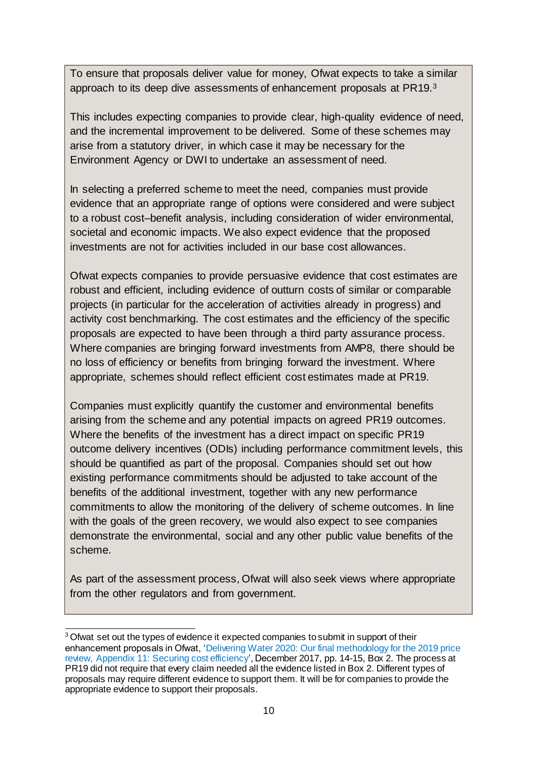To ensure that proposals deliver value for money, Ofwat expects to take a similar approach to its deep dive assessments of enhancement proposals at PR19.<sup>3</sup>

This includes expecting companies to provide clear, high-quality evidence of need, and the incremental improvement to be delivered. Some of these schemes may arise from a statutory driver, in which case it may be necessary for the Environment Agency or DWI to undertake an assessment of need.

In selecting a preferred scheme to meet the need, companies must provide evidence that an appropriate range of options were considered and were subject to a robust cost–benefit analysis, including consideration of wider environmental, societal and economic impacts. We also expect evidence that the proposed investments are not for activities included in our base cost allowances.

Ofwat expects companies to provide persuasive evidence that cost estimates are robust and efficient, including evidence of outturn costs of similar or comparable projects (in particular for the acceleration of activities already in progress) and activity cost benchmarking. The cost estimates and the efficiency of the specific proposals are expected to have been through a third party assurance process. Where companies are bringing forward investments from AMP8, there should be no loss of efficiency or benefits from bringing forward the investment. Where appropriate, schemes should reflect efficient cost estimates made at PR19.

Companies must explicitly quantify the customer and environmental benefits arising from the scheme and any potential impacts on agreed PR19 outcomes. Where the benefits of the investment has a direct impact on specific PR19 outcome delivery incentives (ODIs) including performance commitment levels, this should be quantified as part of the proposal. Companies should set out how existing performance commitments should be adjusted to take account of the benefits of the additional investment, together with any new performance commitments to allow the monitoring of the delivery of scheme outcomes. In line with the goals of the green recovery, we would also expect to see companies demonstrate the environmental, social and any other public value benefits of the scheme.

As part of the assessment process, Ofwat will also seek views where appropriate from the other regulators and from government.

 <sup>3</sup> Ofwat set out the types of evidence it expected companies to submit in support of their enhancement proposals in Ofwat, ['Delivering Water 2020: Our final methodology for the 2019 price](https://www.ofwat.gov.uk/wp-content/uploads/2017/12/Appendix-11-Cost-efficiency-FM.pdf)  [review, Appendix 11: Securing cost efficiency](https://www.ofwat.gov.uk/wp-content/uploads/2017/12/Appendix-11-Cost-efficiency-FM.pdf)', December 2017, pp. 14-15, Box 2. The process at PR19 did not require that every claim needed all the evidence listed in Box 2. Different types of proposals may require different evidence to support them. It will be for companies to provide the appropriate evidence to support their proposals.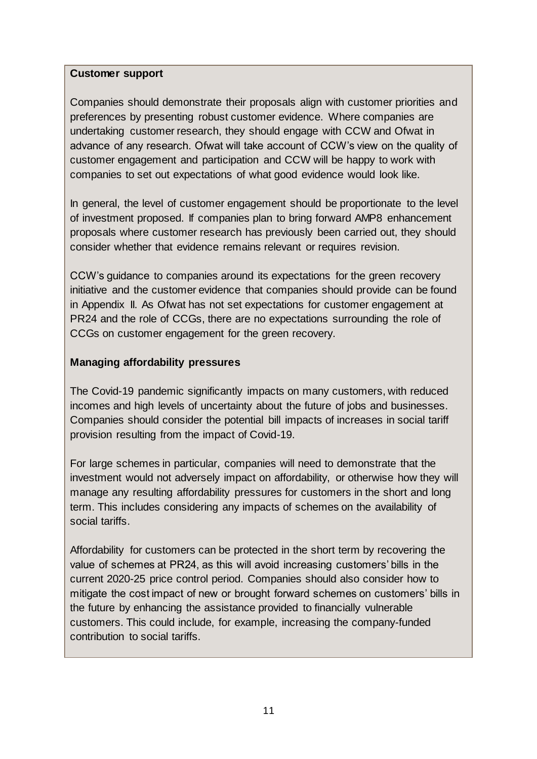#### **Customer support**

Companies should demonstrate their proposals align with customer priorities and preferences by presenting robust customer evidence. Where companies are undertaking customer research, they should engage with CCW and Ofwat in advance of any research. Ofwat will take account of CCW's view on the quality of customer engagement and participation and CCW will be happy to work with companies to set out expectations of what good evidence would look like.

In general, the level of customer engagement should be proportionate to the level of investment proposed. If companies plan to bring forward AMP8 enhancement proposals where customer research has previously been carried out, they should consider whether that evidence remains relevant or requires revision.

CCW's guidance to companies around its expectations for the green recovery initiative and the customer evidence that companies should provide can be found in Appendix II. As Ofwat has not set expectations for customer engagement at PR24 and the role of CCGs, there are no expectations surrounding the role of CCGs on customer engagement for the green recovery.

### **Managing affordability pressures**

The Covid-19 pandemic significantly impacts on many customers, with reduced incomes and high levels of uncertainty about the future of jobs and businesses. Companies should consider the potential bill impacts of increases in social tariff provision resulting from the impact of Covid-19.

For large schemes in particular, companies will need to demonstrate that the investment would not adversely impact on affordability, or otherwise how they will manage any resulting affordability pressures for customers in the short and long term. This includes considering any impacts of schemes on the availability of social tariffs.

Affordability for customers can be protected in the short term by recovering the value of schemes at PR24, as this will avoid increasing customers' bills in the current 2020-25 price control period. Companies should also consider how to mitigate the cost impact of new or brought forward schemes on customers' bills in the future by enhancing the assistance provided to financially vulnerable customers. This could include, for example, increasing the company-funded contribution to social tariffs.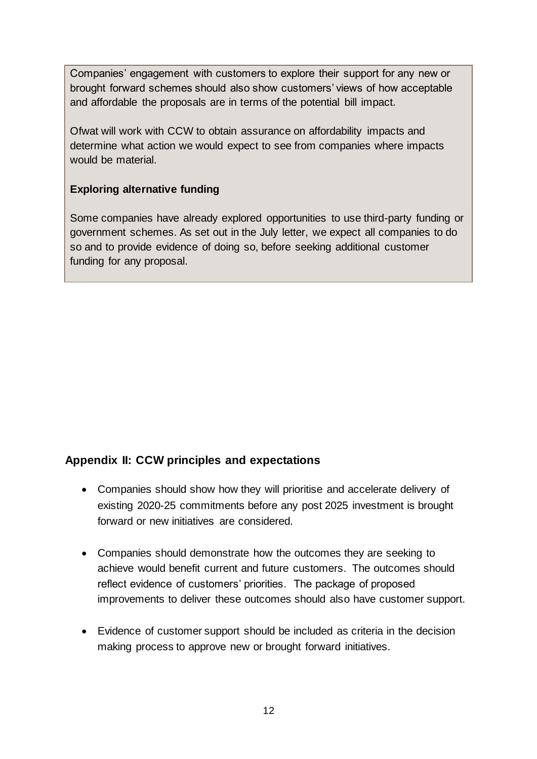Companies' engagement with customers to explore their support for any new or brought forward schemes should also show customers' views of how acceptable and affordable the proposals are in terms of the potential bill impact.

Ofwat will work with CCW to obtain assurance on affordability impacts and determine what action we would expect to see from companies where impacts would be material.

## **Exploring alternative funding**

Some companies have already explored opportunities to use third-party funding or government schemes. As set out in the July letter, we expect all companies to do so and to provide evidence of doing so, before seeking additional customer funding for any proposal.

# **Appendix II: CCW principles and expectations**

- Companies should show how they will prioritise and accelerate delivery of existing 2020-25 commitments before any post 2025 investment is brought forward or new initiatives are considered.
- Companies should demonstrate how the outcomes they are seeking to achieve would benefit current and future customers. The outcomes should reflect evidence of customers' priorities. The package of proposed improvements to deliver these outcomes should also have customer support.
- Evidence of customer support should be included as criteria in the decision making process to approve new or brought forward initiatives.